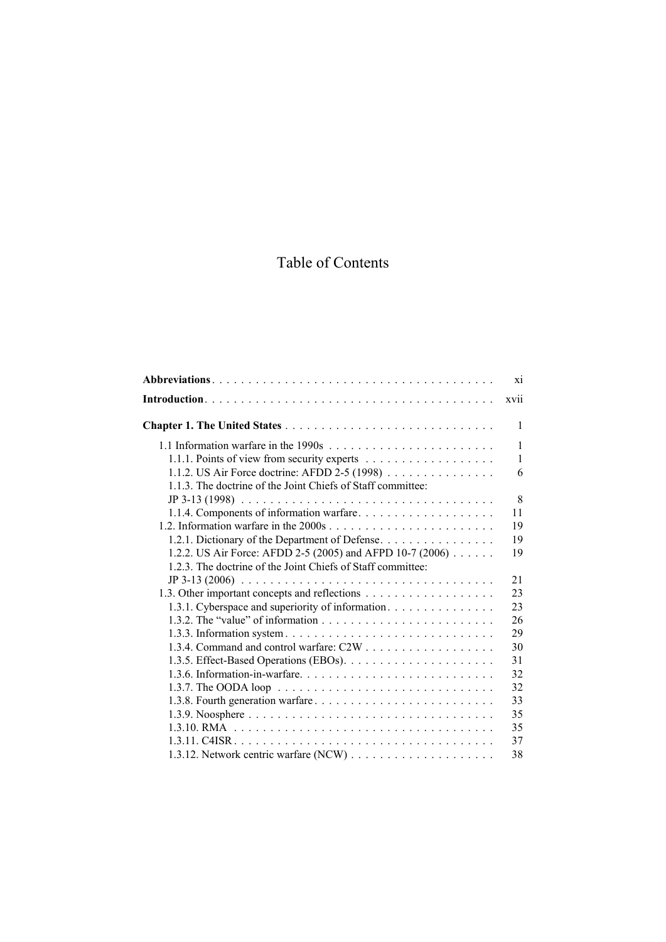## Table of Contents

|                                                                                               | X1           |
|-----------------------------------------------------------------------------------------------|--------------|
|                                                                                               | xvii         |
|                                                                                               | 1            |
|                                                                                               | $\mathbf{1}$ |
|                                                                                               | $\mathbf{1}$ |
| 1.1.2. US Air Force doctrine: AFDD 2-5 (1998) $\ldots$                                        | 6            |
| 1.1.3. The doctrine of the Joint Chiefs of Staff committee:                                   |              |
| $JP 3-13 (1998) \ldots \ldots \ldots \ldots \ldots \ldots \ldots \ldots \ldots \ldots \ldots$ | 8            |
| 1.1.4. Components of information warfare                                                      | 11           |
|                                                                                               | 19           |
| 1.2.1. Dictionary of the Department of Defense                                                | 19           |
| 1.2.2. US Air Force: AFDD 2-5 (2005) and AFPD 10-7 (2006) $\ldots \ldots$                     | 19           |
| 1.2.3. The doctrine of the Joint Chiefs of Staff committee:                                   |              |
| $JP 3-13 (2006) \ldots \ldots \ldots \ldots \ldots \ldots \ldots \ldots \ldots \ldots \ldots$ | 21           |
|                                                                                               | 23           |
| 1.3.1. Cyberspace and superiority of information.                                             | 23           |
|                                                                                               | 26           |
|                                                                                               | 29           |
|                                                                                               | 30           |
|                                                                                               | 31           |
|                                                                                               | 32           |
|                                                                                               | 32           |
|                                                                                               | 33           |
|                                                                                               | 35           |
|                                                                                               | 35           |
|                                                                                               | 37           |
|                                                                                               | 38           |
|                                                                                               |              |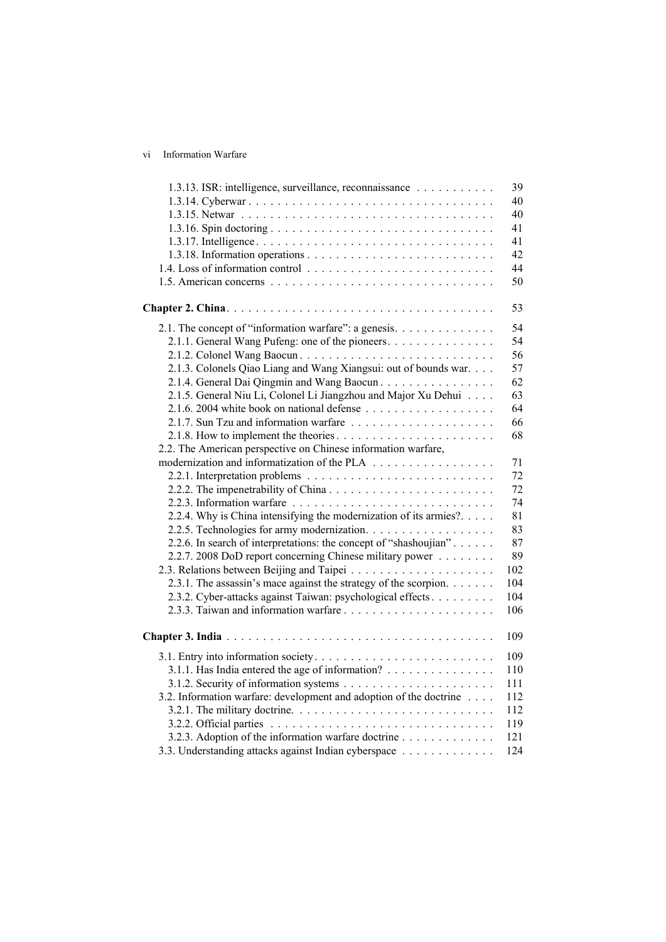vi Information Warfare

| 1.3.13. ISR: intelligence, surveillance, reconnaissance            | 39  |
|--------------------------------------------------------------------|-----|
|                                                                    | 40  |
|                                                                    | 40  |
|                                                                    | 41  |
|                                                                    | 41  |
|                                                                    | 42  |
|                                                                    | 44  |
|                                                                    | 50  |
|                                                                    |     |
|                                                                    | 53  |
| 2.1. The concept of "information warfare": a genesis.              | 54  |
| 2.1.1. General Wang Pufeng: one of the pioneers.                   | 54  |
|                                                                    | 56  |
| 2.1.3. Colonels Qiao Liang and Wang Xiangsui: out of bounds war.   | 57  |
| 2.1.4. General Dai Qingmin and Wang Baocun.                        | 62  |
| 2.1.5. General Niu Li, Colonel Li Jiangzhou and Major Xu Dehui     | 63  |
|                                                                    | 64  |
| 2.1.7. Sun Tzu and information warfare                             | 66  |
|                                                                    | 68  |
| 2.2. The American perspective on Chinese information warfare,      |     |
|                                                                    | 71  |
|                                                                    | 72  |
|                                                                    | 72  |
|                                                                    | 74  |
| 2.2.4. Why is China intensifying the modernization of its armies?. | 81  |
| 2.2.5. Technologies for army modernization.                        | 83  |
| 2.2.6. In search of interpretations: the concept of "shashoujian"  | 87  |
| 2.2.7. 2008 DoD report concerning Chinese military power           | 89  |
|                                                                    | 102 |
| 2.3.1. The assassin's mace against the strategy of the scorpion.   | 104 |
| 2.3.2. Cyber-attacks against Taiwan: psychological effects         | 104 |
|                                                                    | 106 |
|                                                                    |     |
|                                                                    | 109 |
|                                                                    | 109 |
| 3.1.1. Has India entered the age of information?                   | 110 |
|                                                                    | 111 |
| 3.2. Information warfare: development and adoption of the doctrine | 112 |
|                                                                    | 112 |
|                                                                    | 119 |
| 3.2.3. Adoption of the information warfare doctrine                | 121 |
| 3.3. Understanding attacks against Indian cyberspace               | 124 |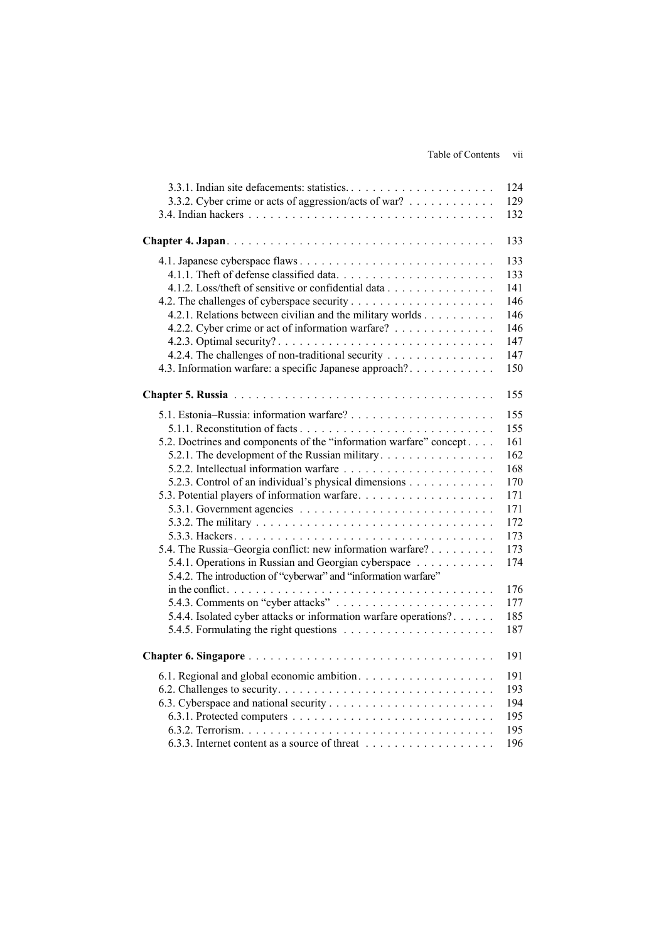|                                                                    | 124 |
|--------------------------------------------------------------------|-----|
| 3.3.2. Cyber crime or acts of aggression/acts of war?              | 129 |
|                                                                    | 132 |
|                                                                    | 133 |
|                                                                    | 133 |
|                                                                    | 133 |
| 4.1.2. Loss/theft of sensitive or confidential data                | 141 |
|                                                                    | 146 |
| 4.2.1. Relations between civilian and the military worlds          | 146 |
| 4.2.2. Cyber crime or act of information warfare?                  | 146 |
|                                                                    | 147 |
| 4.2.4. The challenges of non-traditional security                  | 147 |
| 4.3. Information warfare: a specific Japanese approach?            | 150 |
|                                                                    | 155 |
|                                                                    | 155 |
|                                                                    | 155 |
| 5.2. Doctrines and components of the "information warfare" concept | 161 |
| 5.2.1. The development of the Russian military                     | 162 |
|                                                                    | 168 |
| 5.2.3. Control of an individual's physical dimensions              | 170 |
| 5.3. Potential players of information warfare                      | 171 |
|                                                                    | 171 |
|                                                                    | 172 |
|                                                                    | 173 |
| 5.4. The Russia-Georgia conflict: new information warfare?         | 173 |
| 5.4.1. Operations in Russian and Georgian cyberspace               | 174 |
| 5.4.2. The introduction of "cyberwar" and "information warfare"    |     |
|                                                                    | 176 |
|                                                                    | 177 |
| 5.4.4. Isolated cyber attacks or information warfare operations?   | 185 |
|                                                                    | 187 |
|                                                                    | 191 |
|                                                                    | 191 |
|                                                                    | 193 |
|                                                                    | 194 |
|                                                                    | 195 |
|                                                                    | 195 |
|                                                                    | 196 |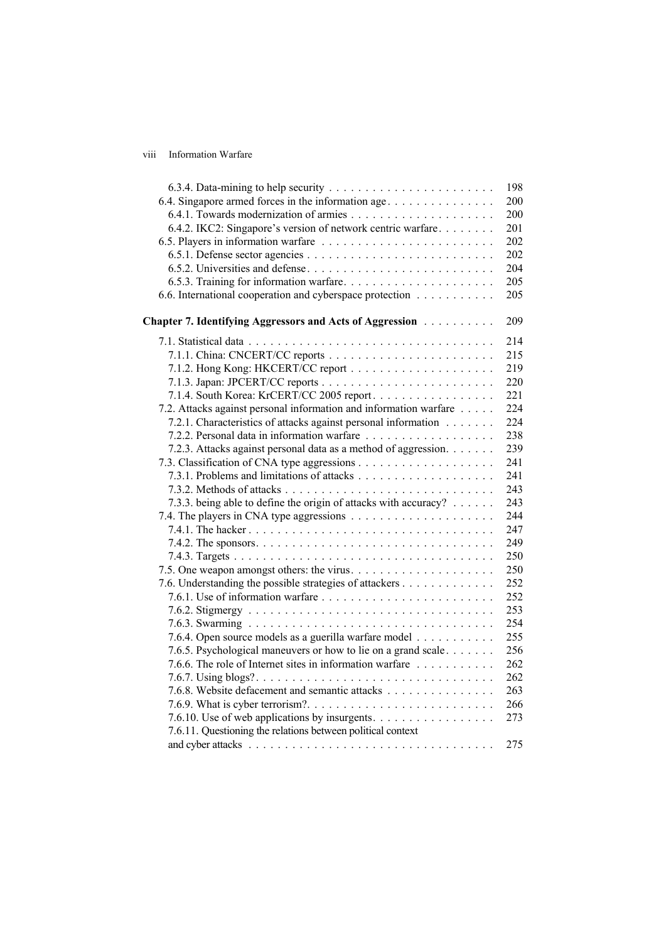## viii Information Warfare

|                                                                   | 198 |
|-------------------------------------------------------------------|-----|
| 6.4. Singapore armed forces in the information age                | 200 |
|                                                                   | 200 |
| 6.4.2. IKC2: Singapore's version of network centric warfare       | 201 |
|                                                                   | 202 |
|                                                                   | 202 |
|                                                                   | 204 |
|                                                                   | 205 |
| 6.6. International cooperation and cyberspace protection          | 205 |
| Chapter 7. Identifying Aggressors and Acts of Aggression          | 209 |
|                                                                   | 214 |
|                                                                   | 215 |
|                                                                   | 219 |
|                                                                   | 220 |
| 7.1.4. South Korea: KrCERT/CC 2005 report.                        | 221 |
| 7.2. Attacks against personal information and information warfare | 224 |
| 7.2.1. Characteristics of attacks against personal information    | 224 |
|                                                                   | 238 |
| 7.2.3. Attacks against personal data as a method of aggression.   | 239 |
|                                                                   | 241 |
|                                                                   | 241 |
|                                                                   | 243 |
| 7.3.3. being able to define the origin of attacks with accuracy?  | 243 |
|                                                                   | 244 |
|                                                                   | 247 |
|                                                                   | 249 |
|                                                                   | 250 |
|                                                                   | 250 |
| 7.6. Understanding the possible strategies of attackers           | 252 |
|                                                                   | 252 |
|                                                                   | 253 |
|                                                                   | 254 |
| 7.6.4. Open source models as a guerilla warfare model             | 255 |
| 7.6.5. Psychological maneuvers or how to lie on a grand scale     | 256 |
| 7.6.6. The role of Internet sites in information warfare          | 262 |
|                                                                   | 262 |
| 7.6.8. Website defacement and semantic attacks                    | 263 |
|                                                                   | 266 |
| 7.6.10. Use of web applications by insurgents.                    | 273 |
| 7.6.11. Questioning the relations between political context       |     |
|                                                                   | 275 |